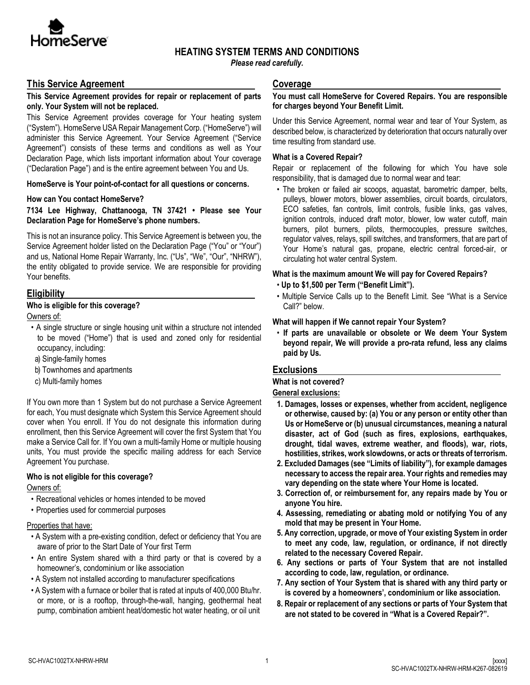

# **HEATING SYSTEM TERMS AND CONDITIONS**

*Please read carefully.*

# **This Service Agreement**

### **This Service Agreement provides for repair or replacement of parts only. Your System will not be replaced.**

This Service Agreement provides coverage for Your heating system ("System"). HomeServe USA Repair Management Corp. ("HomeServe") will administer this Service Agreement. Your Service Agreement ("Service Agreement") consists of these terms and conditions as well as Your Declaration Page, which lists important information about Your coverage ("Declaration Page") and is the entire agreement between You and Us.

### **HomeServe is Your point-of-contact for all questions or concerns.**

#### **How can You contact HomeServe?**

### **7134 Lee Highway, Chattanooga, TN 37421 • Please see Your Declaration Page for HomeServe's phone numbers.**

This is not an insurance policy. This Service Agreement is between you, the Service Agreement holder listed on the Declaration Page ("You" or "Your") and us, National Home Repair Warranty, Inc. ("Us", "We", "Our", "NHRW"), the entity obligated to provide service. We are responsible for providing Your benefits.

# **Eligibility**

# **Who is eligible for this coverage?**

Owners of:

- A single structure or single housing unit within a structure not intended to be moved ("Home") that is used and zoned only for residential occupancy, including:
- a) Single-family homes
- b) Townhomes and apartments
- c) Multi-family homes

If You own more than 1 System but do not purchase a Service Agreement for each, You must designate which System this Service Agreement should cover when You enroll. If You do not designate this information during enrollment, then this Service Agreement will cover the first System that You make a Service Call for. If You own a multi-family Home or multiple housing units, You must provide the specific mailing address for each Service Agreement You purchase.

# **Who is not eligible for this coverage?**

Owners of:

- Recreational vehicles or homes intended to be moved
- Properties used for commercial purposes

### Properties that have:

- A System with a pre-existing condition, defect or deficiency that You are aware of prior to the Start Date of Your first Term
- An entire System shared with a third party or that is covered by a homeowner's, condominium or like association
- A System not installed according to manufacturer specifications
- A System with a furnace or boiler that is rated at inputs of 400,000 Btu/hr. or more, or is a rooftop, through-the-wall, hanging, geothermal heat pump, combination ambient heat/domestic hot water heating, or oil unit

#### **Coverage**

#### **You must call HomeServe for Covered Repairs. You are responsible for charges beyond Your Benefit Limit.**

Under this Service Agreement, normal wear and tear of Your System, as described below, is characterized by deterioration that occurs naturally over time resulting from standard use.

### **What is a Covered Repair?**

Repair or replacement of the following for which You have sole responsibility, that is damaged due to normal wear and tear:

• The broken or failed air scoops, aquastat, barometric damper, belts, pulleys, blower motors, blower assemblies, circuit boards, circulators, ECO safeties, fan controls, limit controls, fusible links, gas valves, ignition controls, induced draft motor, blower, low water cutoff, main burners, pilot burners, pilots, thermocouples, pressure switches, regulator valves, relays, spill switches, and transformers, that are part of Your Home's natural gas, propane, electric central forced-air, or circulating hot water central System.

### **What is the maximum amount We will pay for Covered Repairs?**

- **Up to \$1,500 per Term ("Benefit Limit").**
- Multiple Service Calls up to the Benefit Limit. See "What is a Service Call?" below.

### **What will happen if We cannot repair Your System?**

• **If parts are unavailable or obsolete or We deem Your System beyond repair, We will provide a pro-rata refund, less any claims paid by Us.**

# **Exclusions**

**What is not covered?** 

# **General exclusions:**

- **1. Damages, losses or expenses, whether from accident, negligence or otherwise, caused by: (a) You or any person or entity other than Us or HomeServe or (b) unusual circumstances, meaning a natural disaster, act of God (such as fires, explosions, earthquakes, drought, tidal waves, extreme weather, and floods), war, riots, hostilities, strikes, work slowdowns, or acts or threats of terrorism.**
- **2. Excluded Damages (see "Limits of liability"), for example damages necessary to access the repair area. Your rights and remedies may vary depending on the state where Your Home is located.**
- **3. Correction of, or reimbursement for, any repairs made by You or anyone You hire.**
- **4. Assessing, remediating or abating mold or notifying You of any mold that may be present in Your Home.**
- **5. Any correction, upgrade, or move of Your existing System in order to meet any code, law, regulation, or ordinance, if not directly related to the necessary Covered Repair.**
- **6. Any sections or parts of Your System that are not installed according to code, law, regulation, or ordinance.**
- **7. Any section of Your System that is shared with any third party or is covered by a homeowners', condominium or like association.**
- **8. Repair or replacement of any sections or parts of Your System that are not stated to be covered in "What is a Covered Repair?".**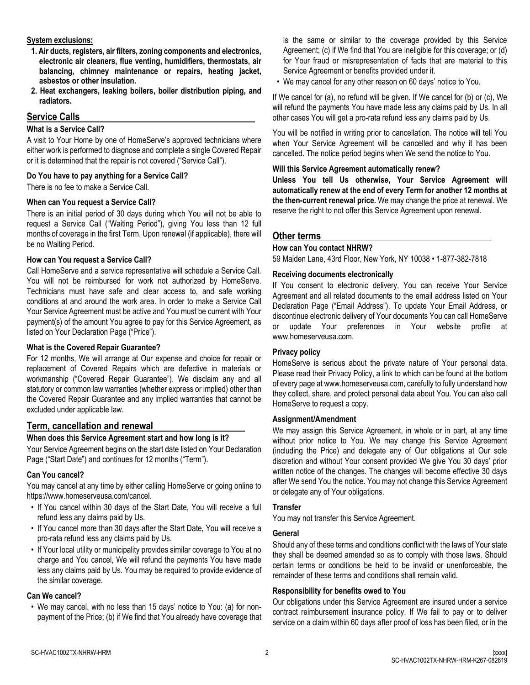### **System exclusions:**

- **1. Air ducts, registers, air filters, zoning components and electronics, electronic air cleaners, flue venting, humidifiers, thermostats, air balancing, chimney maintenance or repairs, heating jacket, asbestos or other insulation.**
- **2. Heat exchangers, leaking boilers, boiler distribution piping, and radiators.**

# **Service Calls**

### **What is a Service Call?**

A visit to Your Home by one of HomeServe's approved technicians where either work is performed to diagnose and complete a single Covered Repair or it is determined that the repair is not covered ("Service Call").

### **Do You have to pay anything for a Service Call?**

There is no fee to make a Service Call.

# **When can You request a Service Call?**

There is an initial period of 30 days during which You will not be able to request a Service Call ("Waiting Period"), giving You less than 12 full months of coverage in the first Term. Upon renewal (if applicable), there will be no Waiting Period.

### **How can You request a Service Call?**

Call HomeServe and a service representative will schedule a Service Call. You will not be reimbursed for work not authorized by HomeServe. Technicians must have safe and clear access to, and safe working conditions at and around the work area. In order to make a Service Call Your Service Agreement must be active and You must be current with Your payment(s) of the amount You agree to pay for this Service Agreement, as listed on Your Declaration Page ("Price").

### **What is the Covered Repair Guarantee?**

For 12 months, We will arrange at Our expense and choice for repair or replacement of Covered Repairs which are defective in materials or workmanship ("Covered Repair Guarantee"). We disclaim any and all statutory or common law warranties (whether express or implied) other than the Covered Repair Guarantee and any implied warranties that cannot be excluded under applicable law.

# **Term, cancellation and renewal**

# **When does this Service Agreement start and how long is it?**

Your Service Agreement begins on the start date listed on Your Declaration Page ("Start Date") and continues for 12 months ("Term").

### **Can You cancel?**

You may cancel at any time by either calling HomeServe or going online to https://www.homeserveusa.com/cancel.

- If You cancel within 30 days of the Start Date, You will receive a full refund less any claims paid by Us.
- If You cancel more than 30 days after the Start Date, You will receive a pro-rata refund less any claims paid by Us.
- If Your local utility or municipality provides similar coverage to You at no charge and You cancel, We will refund the payments You have made less any claims paid by Us. You may be required to provide evidence of the similar coverage.

# **Can We cancel?**

• We may cancel, with no less than 15 days' notice to You: (a) for nonpayment of the Price; (b) if We find that You already have coverage that is the same or similar to the coverage provided by this Service Agreement; (c) if We find that You are ineligible for this coverage; or (d) for Your fraud or misrepresentation of facts that are material to this Service Agreement or benefits provided under it.

• We may cancel for any other reason on 60 days' notice to You.

If We cancel for (a), no refund will be given. If We cancel for (b) or (c), We will refund the payments You have made less any claims paid by Us. In all other cases You will get a pro-rata refund less any claims paid by Us.

You will be notified in writing prior to cancellation. The notice will tell You when Your Service Agreement will be cancelled and why it has been cancelled. The notice period begins when We send the notice to You.

### **Will this Service Agreement automatically renew?**

**Unless You tell Us otherwise, Your Service Agreement will automatically renew at the end of every Term for another 12 months at the then-current renewal price.** We may change the price at renewal. We reserve the right to not offer this Service Agreement upon renewal.

# **Other terms**

### **How can You contact NHRW?**

59 Maiden Lane, 43rd Floor, New York, NY 10038 • 1-877-382-7818

### **Receiving documents electronically**

If You consent to electronic delivery, You can receive Your Service Agreement and all related documents to the email address listed on Your Declaration Page ("Email Address"). To update Your Email Address, or discontinue electronic delivery of Your documents You can call HomeServe or update Your preferences in Your website profile at www.homeserveusa.com.

# **Privacy policy**

HomeServe is serious about the private nature of Your personal data. Please read their Privacy Policy, a link to which can be found at the bottom of every page at www.homeserveusa.com, carefully to fully understand how they collect, share, and protect personal data about You. You can also call HomeServe to request a copy.

### **Assignment/Amendment**

We may assign this Service Agreement, in whole or in part, at any time without prior notice to You. We may change this Service Agreement (including the Price) and delegate any of Our obligations at Our sole discretion and without Your consent provided We give You 30 days' prior written notice of the changes. The changes will become effective 30 days after We send You the notice. You may not change this Service Agreement or delegate any of Your obligations.

### **Transfer**

You may not transfer this Service Agreement.

### **General**

Should any of these terms and conditions conflict with the laws of Your state they shall be deemed amended so as to comply with those laws. Should certain terms or conditions be held to be invalid or unenforceable, the remainder of these terms and conditions shall remain valid.

### **Responsibility for benefits owed to You**

Our obligations under this Service Agreement are insured under a service contract reimbursement insurance policy. If We fail to pay or to deliver service on a claim within 60 days after proof of loss has been filed, or in the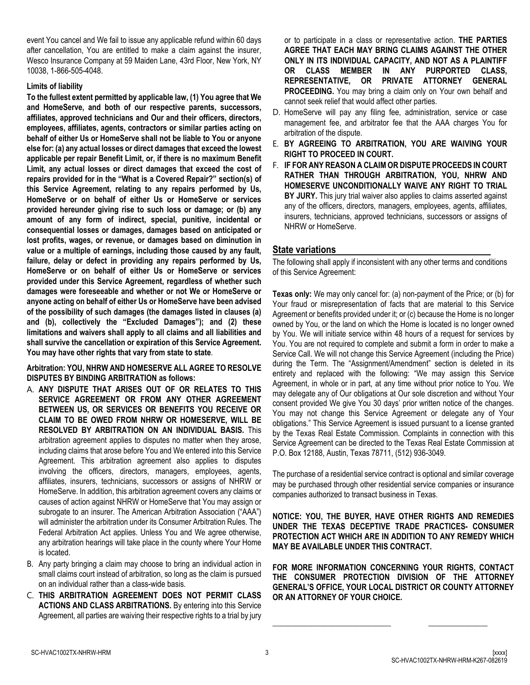event You cancel and We fail to issue any applicable refund within 60 days after cancellation, You are entitled to make a claim against the insurer, Wesco Insurance Company at 59 Maiden Lane, 43rd Floor, New York, NY 10038, 1-866-505-4048.

### **Limits of liability**

**To the fullest extent permitted by applicable law, (1) You agree that We and HomeServe, and both of our respective parents, successors, affiliates, approved technicians and Our and their officers, directors, employees, affiliates, agents, contractors or similar parties acting on behalf of either Us or HomeServe shall not be liable to You or anyone else for: (a) any actual losses or direct damages that exceed the lowest applicable per repair Benefit Limit, or, if there is no maximum Benefit Limit, any actual losses or direct damages that exceed the cost of repairs provided for in the "What is a Covered Repair?" section(s) of this Service Agreement, relating to any repairs performed by Us, HomeServe or on behalf of either Us or HomeServe or services provided hereunder giving rise to such loss or damage; or (b) any amount of any form of indirect, special, punitive, incidental or consequential losses or damages, damages based on anticipated or lost profits, wages, or revenue, or damages based on diminution in value or a multiple of earnings, including those caused by any fault, failure, delay or defect in providing any repairs performed by Us, HomeServe or on behalf of either Us or HomeServe or services provided under this Service Agreement, regardless of whether such damages were foreseeable and whether or not We or HomeServe or anyone acting on behalf of either Us or HomeServe have been advised of the possibility of such damages (the damages listed in clauses (a) and (b), collectively the "Excluded Damages"); and (2) these limitations and waivers shall apply to all claims and all liabilities and shall survive the cancellation or expiration of this Service Agreement. You may have other rights that vary from state to state**.

**Arbitration: YOU, NHRW AND HOMESERVE ALL AGREE TO RESOLVE DISPUTES BY BINDING ARBITRATION as follows:** 

- A. **ANY DISPUTE THAT ARISES OUT OF OR RELATES TO THIS SERVICE AGREEMENT OR FROM ANY OTHER AGREEMENT BETWEEN US, OR SERVICES OR BENEFITS YOU RECEIVE OR CLAIM TO BE OWED FROM NHRW OR HOMESERVE, WILL BE RESOLVED BY ARBITRATION ON AN INDIVIDUAL BASIS.** This arbitration agreement applies to disputes no matter when they arose, including claims that arose before You and We entered into this Service Agreement. This arbitration agreement also applies to disputes involving the officers, directors, managers, employees, agents, affiliates, insurers, technicians, successors or assigns of NHRW or HomeServe. In addition, this arbitration agreement covers any claims or causes of action against NHRW or HomeServe that You may assign or subrogate to an insurer. The American Arbitration Association ("AAA") will administer the arbitration under its Consumer Arbitration Rules. The Federal Arbitration Act applies. Unless You and We agree otherwise, any arbitration hearings will take place in the county where Your Home is located.
- B. Any party bringing a claim may choose to bring an individual action in small claims court instead of arbitration, so long as the claim is pursued on an individual rather than a class-wide basis.
- C. **THIS ARBITRATION AGREEMENT DOES NOT PERMIT CLASS ACTIONS AND CLASS ARBITRATIONS.** By entering into this Service Agreement, all parties are waiving their respective rights to a trial by jury

or to participate in a class or representative action. **THE PARTIES AGREE THAT EACH MAY BRING CLAIMS AGAINST THE OTHER ONLY IN ITS INDIVIDUAL CAPACITY, AND NOT AS A PLAINTIFF OR CLASS MEMBER IN ANY PURPORTED CLASS, REPRESENTATIVE, OR PRIVATE ATTORNEY GENERAL PROCEEDING.** You may bring a claim only on Your own behalf and cannot seek relief that would affect other parties.

- D. HomeServe will pay any filing fee, administration, service or case management fee, and arbitrator fee that the AAA charges You for arbitration of the dispute.
- E. **BY AGREEING TO ARBITRATION, YOU ARE WAIVING YOUR RIGHT TO PROCEED IN COURT.**
- F. **IF FOR ANY REASON A CLAIM OR DISPUTE PROCEEDS IN COURT RATHER THAN THROUGH ARBITRATION, YOU, NHRW AND HOMESERVE UNCONDITIONALLY WAIVE ANY RIGHT TO TRIAL BY JURY.** This jury trial waiver also applies to claims asserted against any of the officers, directors, managers, employees, agents, affiliates, insurers, technicians, approved technicians, successors or assigns of NHRW or HomeServe.

# **State variations**

The following shall apply if inconsistent with any other terms and conditions of this Service Agreement:

**Texas only:** We may only cancel for: (a) non-payment of the Price; or (b) for Your fraud or misrepresentation of facts that are material to this Service Agreement or benefits provided under it; or (c) because the Home is no longer owned by You, or the land on which the Home is located is no longer owned by You. We will initiate service within 48 hours of a request for services by You. You are not required to complete and submit a form in order to make a Service Call. We will not change this Service Agreement (including the Price) during the Term. The "Assignment/Amendment" section is deleted in its entirety and replaced with the following: "We may assign this Service Agreement, in whole or in part, at any time without prior notice to You. We may delegate any of Our obligations at Our sole discretion and without Your consent provided We give You 30 days' prior written notice of the changes. You may not change this Service Agreement or delegate any of Your obligations." This Service Agreement is issued pursuant to a license granted by the Texas Real Estate Commission. Complaints in connection with this Service Agreement can be directed to the Texas Real Estate Commission at P.O. Box 12188, Austin, Texas 78711, (512) 936-3049.

The purchase of a residential service contract is optional and similar coverage may be purchased through other residential service companies or insurance companies authorized to transact business in Texas.

**NOTICE: YOU, THE BUYER, HAVE OTHER RIGHTS AND REMEDIES UNDER THE TEXAS DECEPTIVE TRADE PRACTICES- CONSUMER PROTECTION ACT WHICH ARE IN ADDITION TO ANY REMEDY WHICH MAY BE AVAILABLE UNDER THIS CONTRACT.** 

**FOR MORE INFORMATION CONCERNING YOUR RIGHTS, CONTACT THE CONSUMER PROTECTION DIVISION OF THE ATTORNEY GENERAL'S OFFICE, YOUR LOCAL DISTRICT OR COUNTY ATTORNEY OR AN ATTORNEY OF YOUR CHOICE.**

**\_\_\_\_\_\_\_\_\_\_\_\_\_\_\_\_\_\_\_\_\_\_\_\_\_\_\_\_\_\_ \_\_\_\_\_\_\_\_\_\_\_\_\_\_\_**